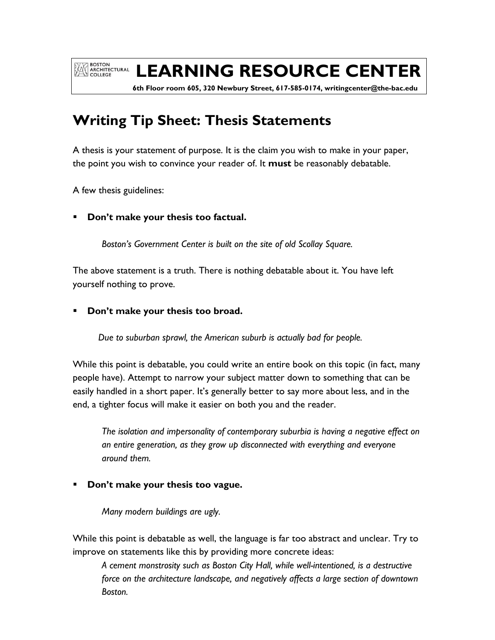**EXAMPLE SOLUTE AND ARCHITECTURAL** 

# **LEARNING RESOURCE CENTER**

 **6th Floor room 605, 320 Newbury Street, 617-585-0174, writingcenter@the-bac.edu**

## **Writing Tip Sheet: Thesis Statements**

A thesis is your statement of purpose. It is the claim you wish to make in your paper, the point you wish to convince your reader of. It **must** be reasonably debatable.

A few thesis guidelines:

**Don't make your thesis too factual.** 

*Boston's Government Center is built on the site of old Scollay Square.* 

The above statement is a truth. There is nothing debatable about it. You have left yourself nothing to prove.

**Don't make your thesis too broad.** 

*Due to suburban sprawl, the American suburb is actually bad for people.* 

While this point is debatable, you could write an entire book on this topic (in fact, many people have). Attempt to narrow your subject matter down to something that can be easily handled in a short paper. It's generally better to say more about less, and in the end, a tighter focus will make it easier on both you and the reader.

*The isolation and impersonality of contemporary suburbia is having a negative effect on an entire generation, as they grow up disconnected with everything and everyone around them.* 

## **Don't make your thesis too vague.**

*Many modern buildings are ugly.* 

While this point is debatable as well, the language is far too abstract and unclear. Try to improve on statements like this by providing more concrete ideas:

*A cement monstrosity such as Boston City Hall, while well-intentioned, is a destructive force on the architecture landscape, and negatively affects a large section of downtown Boston.*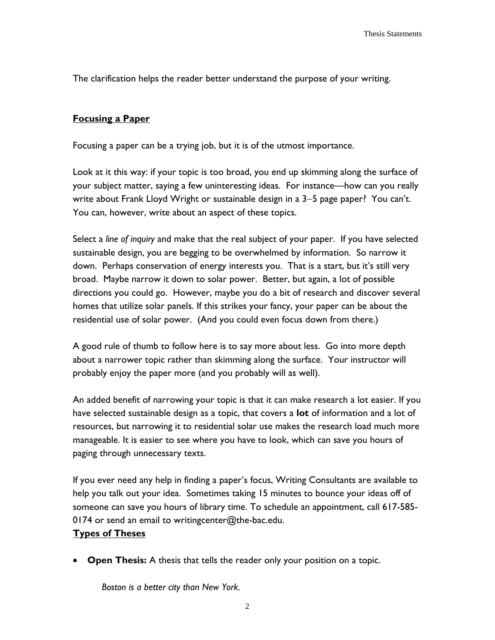The clarification helps the reader better understand the purpose of your writing.

### **Focusing a Paper**

Focusing a paper can be a trying job, but it is of the utmost importance.

Look at it this way: if your topic is too broad, you end up skimming along the surface of your subject matter, saying a few uninteresting ideas. For instance—how can you really write about Frank Lloyd Wright or sustainable design in a  $3-5$  page paper? You can't. You can, however, write about an aspect of these topics.

Select a *line of inquiry* and make that the real subject of your paper. If you have selected sustainable design, you are begging to be overwhelmed by information. So narrow it down. Perhaps conservation of energy interests you. That is a start, but it's still very broad. Maybe narrow it down to solar power. Better, but again, a lot of possible directions you could go. However, maybe you do a bit of research and discover several homes that utilize solar panels. If this strikes your fancy, your paper can be about the residential use of solar power. (And you could even focus down from there.)

A good rule of thumb to follow here is to say more about less. Go into more depth about a narrower topic rather than skimming along the surface. Your instructor will probably enjoy the paper more (and you probably will as well).

An added benefit of narrowing your topic is that it can make research a lot easier. If you have selected sustainable design as a topic, that covers a **lot** of information and a lot of resources, but narrowing it to residential solar use makes the research load much more manageable. It is easier to see where you have to look, which can save you hours of paging through unnecessary texts.

If you ever need any help in finding a paper's focus, Writing Consultants are available to help you talk out your idea. Sometimes taking 15 minutes to bounce your ideas off of someone can save you hours of library time. To schedule an appointment, call 617-585- 0174 or send an email to writingcenter@the-bac.edu.

#### **Types of Theses**

**Open Thesis:** A thesis that tells the reader only your position on a topic.

*Boston is a better city than New York.*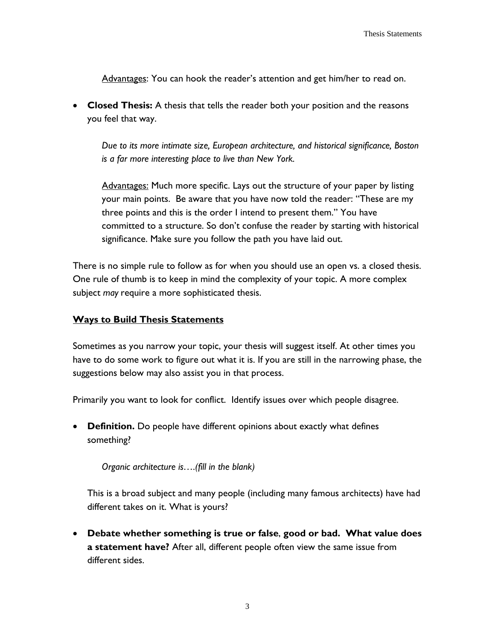Advantages: You can hook the reader's attention and get him/her to read on.

 **Closed Thesis:** A thesis that tells the reader both your position and the reasons you feel that way.

*Due to its more intimate size, European architecture, and historical significance, Boston is a far more interesting place to live than New York.*

Advantages: Much more specific. Lays out the structure of your paper by listing your main points. Be aware that you have now told the reader: "These are my three points and this is the order I intend to present them." You have committed to a structure. So don't confuse the reader by starting with historical significance. Make sure you follow the path you have laid out.

There is no simple rule to follow as for when you should use an open vs. a closed thesis. One rule of thumb is to keep in mind the complexity of your topic. A more complex subject *may* require a more sophisticated thesis.

#### **Ways to Build Thesis Statements**

Sometimes as you narrow your topic, your thesis will suggest itself. At other times you have to do some work to figure out what it is. If you are still in the narrowing phase, the suggestions below may also assist you in that process.

Primarily you want to look for conflict. Identify issues over which people disagree.

 **Definition.** Do people have different opinions about exactly what defines something?

*Organic architecture is….(fill in the blank)*

This is a broad subject and many people (including many famous architects) have had different takes on it. What is yours?

 **Debate whether something is true or false**, **good or bad. What value does a statement have?** After all, different people often view the same issue from different sides.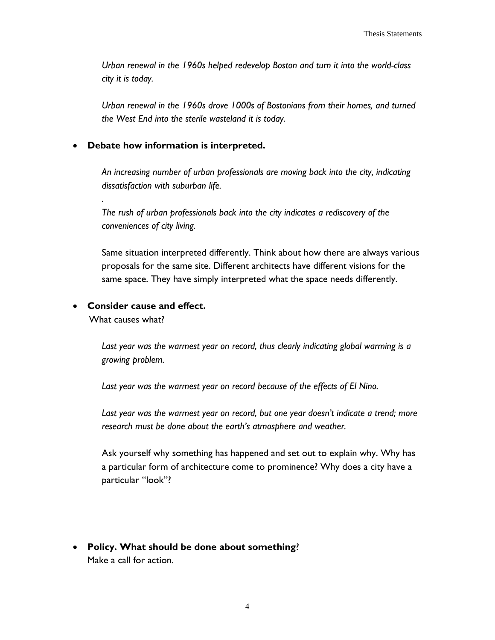*Urban renewal in the 1960s helped redevelop Boston and turn it into the world-class city it is today.* 

*Urban renewal in the 1960s drove 1000s of Bostonians from their homes, and turned the West End into the sterile wasteland it is today.*

#### **Debate how information is interpreted.**

*An increasing number of urban professionals are moving back into the city, indicating dissatisfaction with suburban life.*

*The rush of urban professionals back into the city indicates a rediscovery of the conveniences of city living.* 

Same situation interpreted differently. Think about how there are always various proposals for the same site. Different architects have different visions for the same space. They have simply interpreted what the space needs differently.

#### **Consider cause and effect.**

What causes what?

*.*

*Last year was the warmest year on record, thus clearly indicating global warming is a growing problem.* 

*Last year was the warmest year on record because of the effects of El Nino.*

*Last year was the warmest year on record, but one year doesn't indicate a trend; more research must be done about the earth's atmosphere and weather.* 

Ask yourself why something has happened and set out to explain why. Why has a particular form of architecture come to prominence? Why does a city have a particular "look"?

 **Policy. What should be done about something**? Make a call for action.